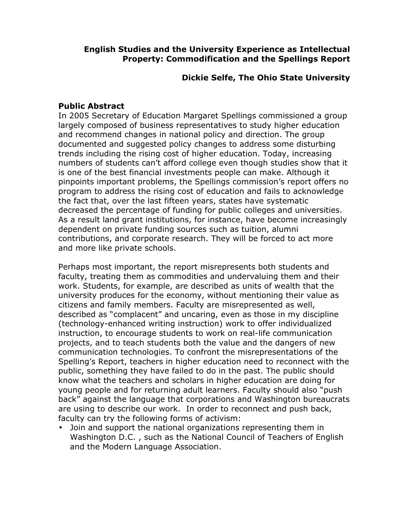### **English Studies and the University Experience as Intellectual Property: Commodification and the Spellings Report**

## **Dickie Selfe, The Ohio State University**

### **Public Abstract**

In 2005 Secretary of Education Margaret Spellings commissioned a group largely composed of business representatives to study higher education and recommend changes in national policy and direction. The group documented and suggested policy changes to address some disturbing trends including the rising cost of higher education. Today, increasing numbers of students can't afford college even though studies show that it is one of the best financial investments people can make. Although it pinpoints important problems, the Spellings commission's report offers no program to address the rising cost of education and fails to acknowledge the fact that, over the last fifteen years, states have systematic decreased the percentage of funding for public colleges and universities. As a result land grant institutions, for instance, have become increasingly dependent on private funding sources such as tuition, alumni contributions, and corporate research. They will be forced to act more and more like private schools.

Perhaps most important, the report misrepresents both students and faculty, treating them as commodities and undervaluing them and their work. Students, for example, are described as units of wealth that the university produces for the economy, without mentioning their value as citizens and family members. Faculty are misrepresented as well, described as "complacent" and uncaring, even as those in my discipline (technology-enhanced writing instruction) work to offer individualized instruction, to encourage students to work on real-life communication projects, and to teach students both the value and the dangers of new communication technologies. To confront the misrepresentations of the Spelling's Report, teachers in higher education need to reconnect with the public, something they have failed to do in the past. The public should know what the teachers and scholars in higher education are doing for young people and for returning adult learners. Faculty should also "push back" against the language that corporations and Washington bureaucrats are using to describe our work. In order to reconnect and push back, faculty can try the following forms of activism:

• Join and support the national organizations representing them in Washington D.C. , such as the National Council of Teachers of English and the Modern Language Association.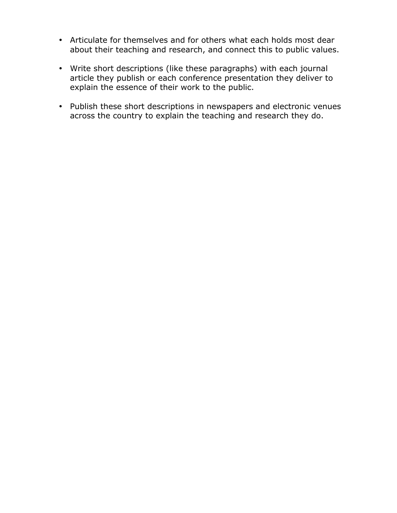- Articulate for themselves and for others what each holds most dear about their teaching and research, and connect this to public values.
- Write short descriptions (like these paragraphs) with each journal article they publish or each conference presentation they deliver to explain the essence of their work to the public.
- Publish these short descriptions in newspapers and electronic venues across the country to explain the teaching and research they do.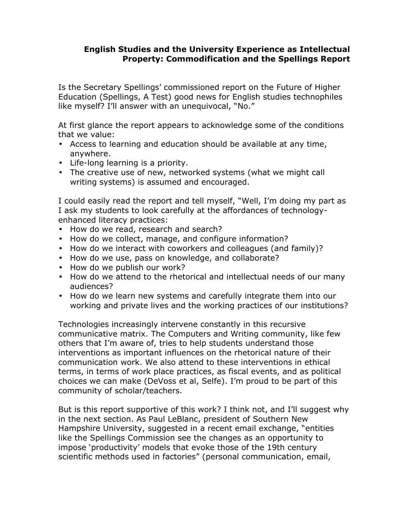### **English Studies and the University Experience as Intellectual Property: Commodification and the Spellings Report**

Is the Secretary Spellings' commissioned report on the Future of Higher Education (Spellings, A Test) good news for English studies technophiles like myself? I'll answer with an unequivocal, "No."

At first glance the report appears to acknowledge some of the conditions that we value:

- Access to learning and education should be available at any time, anywhere.
- Life-long learning is a priority.
- The creative use of new, networked systems (what we might call writing systems) is assumed and encouraged.

I could easily read the report and tell myself, "Well, I'm doing my part as I ask my students to look carefully at the affordances of technologyenhanced literacy practices:

- How do we read, research and search?
- How do we collect, manage, and configure information?
- How do we interact with coworkers and colleagues (and family)?
- How do we use, pass on knowledge, and collaborate?
- How do we publish our work?
- How do we attend to the rhetorical and intellectual needs of our many audiences?
- How do we learn new systems and carefully integrate them into our working and private lives and the working practices of our institutions?

Technologies increasingly intervene constantly in this recursive communicative matrix. The Computers and Writing community, like few others that I'm aware of, tries to help students understand those interventions as important influences on the rhetorical nature of their communication work. We also attend to these interventions in ethical terms, in terms of work place practices, as fiscal events, and as political choices we can make (DeVoss et al, Selfe). I'm proud to be part of this community of scholar/teachers.

But is this report supportive of this work? I think not, and I'll suggest why in the next section. As Paul LeBlanc, president of Southern New Hampshire University, suggested in a recent email exchange, "entities like the Spellings Commission see the changes as an opportunity to impose 'productivity' models that evoke those of the 19th century scientific methods used in factories" (personal communication, email,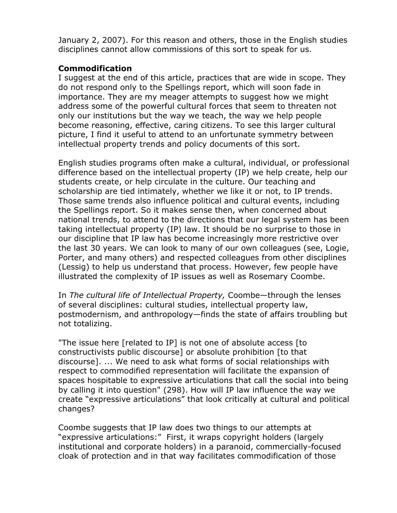January 2, 2007). For this reason and others, those in the English studies disciplines cannot allow commissions of this sort to speak for us.

## **Commodification**

I suggest at the end of this article, practices that are wide in scope. They do not respond only to the Spellings report, which will soon fade in importance. They are my meager attempts to suggest how we might address some of the powerful cultural forces that seem to threaten not only our institutions but the way we teach, the way we help people become reasoning, effective, caring citizens. To see this larger cultural picture, I find it useful to attend to an unfortunate symmetry between intellectual property trends and policy documents of this sort.

English studies programs often make a cultural, individual, or professional difference based on the intellectual property (IP) we help create, help our students create, or help circulate in the culture. Our teaching and scholarship are tied intimately, whether we like it or not, to IP trends. Those same trends also influence political and cultural events, including the Spellings report. So it makes sense then, when concerned about national trends, to attend to the directions that our legal system has been taking intellectual property (IP) law. It should be no surprise to those in our discipline that IP law has become increasingly more restrictive over the last 30 years. We can look to many of our own colleagues (see, Logie, Porter, and many others) and respected colleagues from other disciplines (Lessig) to help us understand that process. However, few people have illustrated the complexity of IP issues as well as Rosemary Coombe.

In *The cultural life of Intellectual Property,* Coombe—through the lenses of several disciplines: cultural studies, intellectual property law, postmodernism, and anthropology—finds the state of affairs troubling but not totalizing.

"The issue here [related to IP] is not one of absolute access [to constructivists public discourse] or absolute prohibition [to that discourse]. ... We need to ask what forms of social relationships with respect to commodified representation will facilitate the expansion of spaces hospitable to expressive articulations that call the social into being by calling it into question" (298). How will IP law influence the way we create "expressive articulations" that look critically at cultural and political changes?

Coombe suggests that IP law does two things to our attempts at "expressive articulations:" First, it wraps copyright holders (largely institutional and corporate holders) in a paranoid, commercially-focused cloak of protection and in that way facilitates commodification of those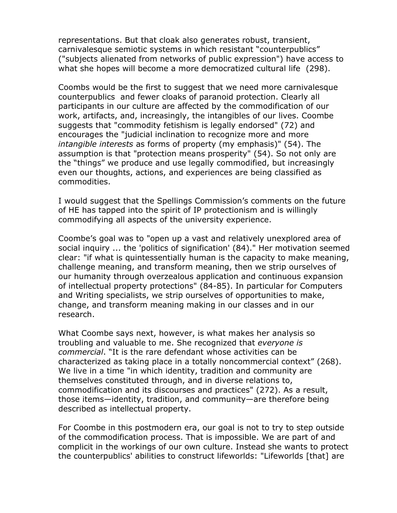representations. But that cloak also generates robust, transient, carnivalesque semiotic systems in which resistant "counterpublics" ("subjects alienated from networks of public expression") have access to what she hopes will become a more democratized cultural life (298).

Coombs would be the first to suggest that we need more carnivalesque counterpublics and fewer cloaks of paranoid protection. Clearly all participants in our culture are affected by the commodification of our work, artifacts, and, increasingly, the intangibles of our lives. Coombe suggests that "commodity fetishism is legally endorsed" (72) and encourages the "judicial inclination to recognize more and more *intangible interests* as forms of property (my emphasis)" (54). The assumption is that "protection means prosperity" (54). So not only are the "things" we produce and use legally commodified, but increasingly even our thoughts, actions, and experiences are being classified as commodities.

I would suggest that the Spellings Commission's comments on the future of HE has tapped into the spirit of IP protectionism and is willingly commodifying all aspects of the university experience.

Coombe's goal was to "open up a vast and relatively unexplored area of social inquiry ... the 'politics of signification' (84)." Her motivation seemed clear: "if what is quintessentially human is the capacity to make meaning, challenge meaning, and transform meaning, then we strip ourselves of our humanity through overzealous application and continuous expansion of intellectual property protections" (84-85). In particular for Computers and Writing specialists, we strip ourselves of opportunities to make, change, and transform meaning making in our classes and in our research.

What Coombe says next, however, is what makes her analysis so troubling and valuable to me. She recognized that *everyone is commercial*. "It is the rare defendant whose activities can be characterized as taking place in a totally noncommercial context" (268). We live in a time "in which identity, tradition and community are themselves constituted through, and in diverse relations to, commodification and its discourses and practices" (272). As a result, those items—identity, tradition, and community—are therefore being described as intellectual property.

For Coombe in this postmodern era, our goal is not to try to step outside of the commodification process. That is impossible. We are part of and complicit in the workings of our own culture. Instead she wants to protect the counterpublics' abilities to construct lifeworlds: "Lifeworlds [that] are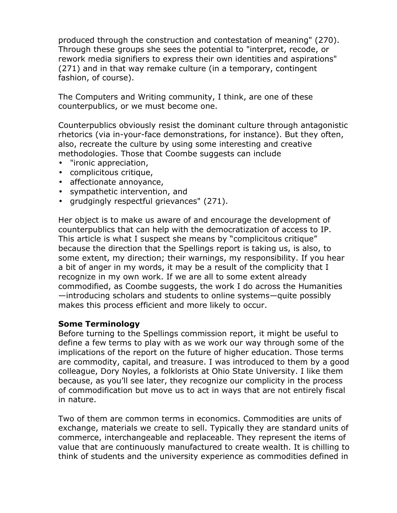produced through the construction and contestation of meaning" (270). Through these groups she sees the potential to "interpret, recode, or rework media signifiers to express their own identities and aspirations" (271) and in that way remake culture (in a temporary, contingent fashion, of course).

The Computers and Writing community, I think, are one of these counterpublics, or we must become one.

Counterpublics obviously resist the dominant culture through antagonistic rhetorics (via in-your-face demonstrations, for instance). But they often, also, recreate the culture by using some interesting and creative methodologies. Those that Coombe suggests can include

- "ironic appreciation,
- complicitous critique,
- affectionate annoyance,
- sympathetic intervention, and
- grudgingly respectful grievances" (271).

Her object is to make us aware of and encourage the development of counterpublics that can help with the democratization of access to IP. This article is what I suspect she means by "complicitous critique" because the direction that the Spellings report is taking us, is also, to some extent, my direction; their warnings, my responsibility. If you hear a bit of anger in my words, it may be a result of the complicity that I recognize in my own work. If we are all to some extent already commodified, as Coombe suggests, the work I do across the Humanities —introducing scholars and students to online systems—quite possibly makes this process efficient and more likely to occur.

### **Some Terminology**

Before turning to the Spellings commission report, it might be useful to define a few terms to play with as we work our way through some of the implications of the report on the future of higher education. Those terms are commodity, capital, and treasure. I was introduced to them by a good colleague, Dory Noyles, a folklorists at Ohio State University. I like them because, as you'll see later, they recognize our complicity in the process of commodification but move us to act in ways that are not entirely fiscal in nature.

Two of them are common terms in economics. Commodities are units of exchange, materials we create to sell. Typically they are standard units of commerce, interchangeable and replaceable. They represent the items of value that are continuously manufactured to create wealth. It is chilling to think of students and the university experience as commodities defined in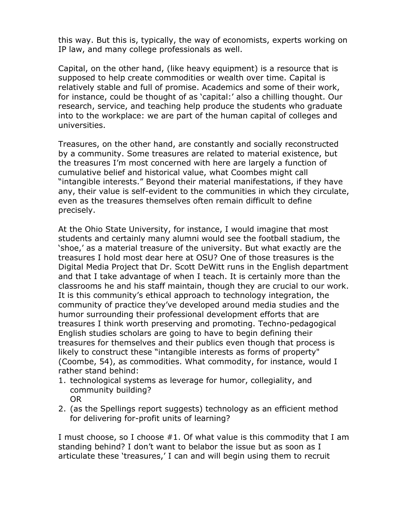this way. But this is, typically, the way of economists, experts working on IP law, and many college professionals as well.

Capital, on the other hand, (like heavy equipment) is a resource that is supposed to help create commodities or wealth over time. Capital is relatively stable and full of promise. Academics and some of their work, for instance, could be thought of as 'capital:' also a chilling thought. Our research, service, and teaching help produce the students who graduate into to the workplace: we are part of the human capital of colleges and universities.

Treasures, on the other hand, are constantly and socially reconstructed by a community. Some treasures are related to material existence, but the treasures I'm most concerned with here are largely a function of cumulative belief and historical value, what Coombes might call "intangible interests." Beyond their material manifestations, if they have any, their value is self-evident to the communities in which they circulate, even as the treasures themselves often remain difficult to define precisely.

At the Ohio State University, for instance, I would imagine that most students and certainly many alumni would see the football stadium, the 'shoe,' as a material treasure of the university. But what exactly are the treasures I hold most dear here at OSU? One of those treasures is the Digital Media Project that Dr. Scott DeWitt runs in the English department and that I take advantage of when I teach. It is certainly more than the classrooms he and his staff maintain, though they are crucial to our work. It is this community's ethical approach to technology integration, the community of practice they've developed around media studies and the humor surrounding their professional development efforts that are treasures I think worth preserving and promoting. Techno-pedagogical English studies scholars are going to have to begin defining their treasures for themselves and their publics even though that process is likely to construct these "intangible interests as forms of property" (Coombe, 54), as commodities. What commodity, for instance, would I rather stand behind:

- 1. technological systems as leverage for humor, collegiality, and community building? OR
- 2. (as the Spellings report suggests) technology as an efficient method for delivering for-profit units of learning?

I must choose, so I choose #1. Of what value is this commodity that I am standing behind? I don't want to belabor the issue but as soon as I articulate these 'treasures,' I can and will begin using them to recruit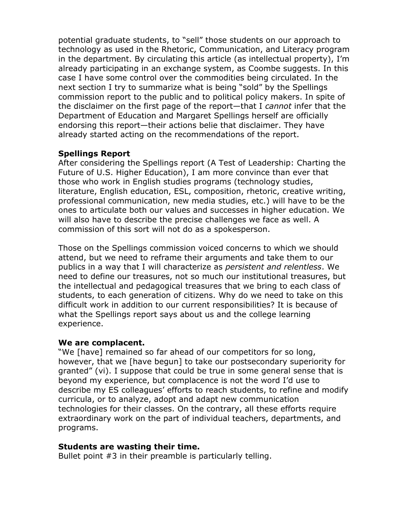potential graduate students, to "sell" those students on our approach to technology as used in the Rhetoric, Communication, and Literacy program in the department. By circulating this article (as intellectual property), I'm already participating in an exchange system, as Coombe suggests. In this case I have some control over the commodities being circulated. In the next section I try to summarize what is being "sold" by the Spellings commission report to the public and to political policy makers. In spite of the disclaimer on the first page of the report—that I *cannot* infer that the Department of Education and Margaret Spellings herself are officially endorsing this report—their actions belie that disclaimer. They have already started acting on the recommendations of the report.

## **Spellings Report**

After considering the Spellings report (A Test of Leadership: Charting the Future of U.S. Higher Education), I am more convince than ever that those who work in English studies programs (technology studies, literature, English education, ESL, composition, rhetoric, creative writing, professional communication, new media studies, etc.) will have to be the ones to articulate both our values and successes in higher education. We will also have to describe the precise challenges we face as well. A commission of this sort will not do as a spokesperson.

Those on the Spellings commission voiced concerns to which we should attend, but we need to reframe their arguments and take them to our publics in a way that I will characterize as *persistent and relentless*. We need to define our treasures, not so much our institutional treasures, but the intellectual and pedagogical treasures that we bring to each class of students, to each generation of citizens. Why do we need to take on this difficult work in addition to our current responsibilities? It is because of what the Spellings report says about us and the college learning experience.

### **We are complacent.**

"We [have] remained so far ahead of our competitors for so long, however, that we [have begun] to take our postsecondary superiority for granted" (vi). I suppose that could be true in some general sense that is beyond my experience, but complacence is not the word I'd use to describe my ES colleagues' efforts to reach students, to refine and modify curricula, or to analyze, adopt and adapt new communication technologies for their classes. On the contrary, all these efforts require extraordinary work on the part of individual teachers, departments, and programs.

### **Students are wasting their time.**

Bullet point #3 in their preamble is particularly telling.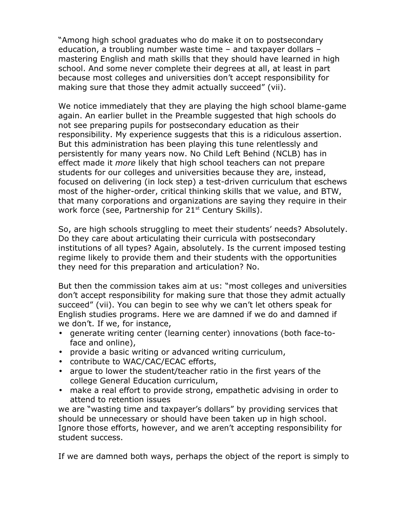"Among high school graduates who do make it on to postsecondary education, a troubling number waste time – and taxpayer dollars – mastering English and math skills that they should have learned in high school. And some never complete their degrees at all, at least in part because most colleges and universities don't accept responsibility for making sure that those they admit actually succeed" (vii).

We notice immediately that they are playing the high school blame-game again. An earlier bullet in the Preamble suggested that high schools do not see preparing pupils for postsecondary education as their responsibility. My experience suggests that this is a ridiculous assertion. But this administration has been playing this tune relentlessly and persistently for many years now. No Child Left Behind (NCLB) has in effect made it *more* likely that high school teachers can not prepare students for our colleges and universities because they are, instead, focused on delivering (in lock step) a test-driven curriculum that eschews most of the higher-order, critical thinking skills that we value, and BTW, that many corporations and organizations are saying they require in their work force (see, Partnership for 21<sup>st</sup> Century Skills).

So, are high schools struggling to meet their students' needs? Absolutely. Do they care about articulating their curricula with postsecondary institutions of all types? Again, absolutely. Is the current imposed testing regime likely to provide them and their students with the opportunities they need for this preparation and articulation? No.

But then the commission takes aim at us: "most colleges and universities don't accept responsibility for making sure that those they admit actually succeed" (vii). You can begin to see why we can't let others speak for English studies programs. Here we are damned if we do and damned if we don't. If we, for instance,

- generate writing center (learning center) innovations (both face-toface and online),
- provide a basic writing or advanced writing curriculum,
- contribute to WAC/CAC/ECAC efforts,
- argue to lower the student/teacher ratio in the first years of the college General Education curriculum,
- make a real effort to provide strong, empathetic advising in order to attend to retention issues

we are "wasting time and taxpayer's dollars" by providing services that should be unnecessary or should have been taken up in high school. Ignore those efforts, however, and we aren't accepting responsibility for student success.

If we are damned both ways, perhaps the object of the report is simply to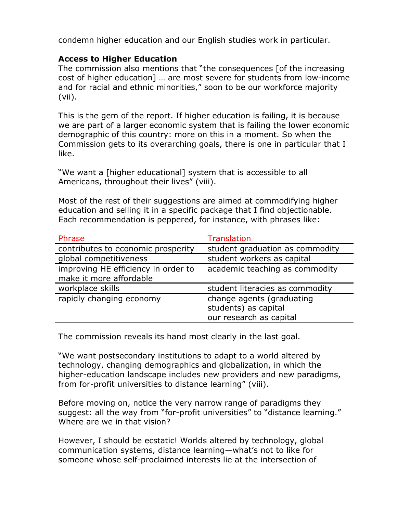condemn higher education and our English studies work in particular.

# **Access to Higher Education**

The commission also mentions that "the consequences [of the increasing cost of higher education] … are most severe for students from low-income and for racial and ethnic minorities," soon to be our workforce majority (vii).

This is the gem of the report. If higher education is failing, it is because we are part of a larger economic system that is failing the lower economic demographic of this country: more on this in a moment. So when the Commission gets to its overarching goals, there is one in particular that I like.

"We want a [higher educational] system that is accessible to all Americans, throughout their lives" (viii).

Most of the rest of their suggestions are aimed at commodifying higher education and selling it in a specific package that I find objectionable. Each recommendation is peppered, for instance, with phrases like:

| Phrase                                                         | Translation                                                                  |
|----------------------------------------------------------------|------------------------------------------------------------------------------|
| contributes to economic prosperity                             | student graduation as commodity                                              |
| global competitiveness                                         | student workers as capital                                                   |
| improving HE efficiency in order to<br>make it more affordable | academic teaching as commodity                                               |
| workplace skills                                               | student literacies as commodity                                              |
| rapidly changing economy                                       | change agents (graduating<br>students) as capital<br>our research as capital |

The commission reveals its hand most clearly in the last goal.

"We want postsecondary institutions to adapt to a world altered by technology, changing demographics and globalization, in which the higher-education landscape includes new providers and new paradigms, from for-profit universities to distance learning" (viii).

Before moving on, notice the very narrow range of paradigms they suggest: all the way from "for-profit universities" to "distance learning." Where are we in that vision?

However, I should be ecstatic! Worlds altered by technology, global communication systems, distance learning—what's not to like for someone whose self-proclaimed interests lie at the intersection of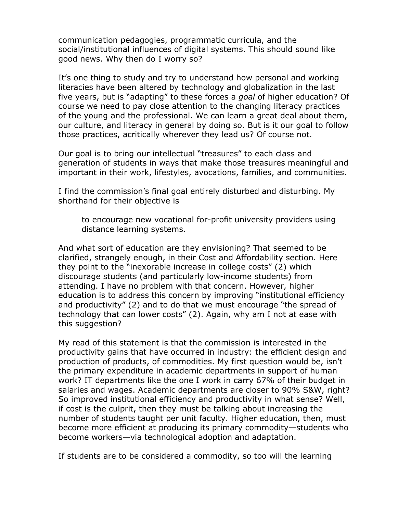communication pedagogies, programmatic curricula, and the social/institutional influences of digital systems. This should sound like good news. Why then do I worry so?

It's one thing to study and try to understand how personal and working literacies have been altered by technology and globalization in the last five years, but is "adapting" to these forces a *goal* of higher education? Of course we need to pay close attention to the changing literacy practices of the young and the professional. We can learn a great deal about them, our culture, and literacy in general by doing so. But is it our goal to follow those practices, acritically wherever they lead us? Of course not.

Our goal is to bring our intellectual "treasures" to each class and generation of students in ways that make those treasures meaningful and important in their work, lifestyles, avocations, families, and communities.

I find the commission's final goal entirely disturbed and disturbing. My shorthand for their objective is

to encourage new vocational for-profit university providers using distance learning systems.

And what sort of education are they envisioning? That seemed to be clarified, strangely enough, in their Cost and Affordability section. Here they point to the "inexorable increase in college costs" (2) which discourage students (and particularly low-income students) from attending. I have no problem with that concern. However, higher education is to address this concern by improving "institutional efficiency and productivity" (2) and to do that we must encourage "the spread of technology that can lower costs" (2). Again, why am I not at ease with this suggestion?

My read of this statement is that the commission is interested in the productivity gains that have occurred in industry: the efficient design and production of products, of commodities. My first question would be, isn't the primary expenditure in academic departments in support of human work? IT departments like the one I work in carry 67% of their budget in salaries and wages. Academic departments are closer to 90% S&W, right? So improved institutional efficiency and productivity in what sense? Well, if cost is the culprit, then they must be talking about increasing the number of students taught per unit faculty. Higher education, then, must become more efficient at producing its primary commodity—students who become workers—via technological adoption and adaptation.

If students are to be considered a commodity, so too will the learning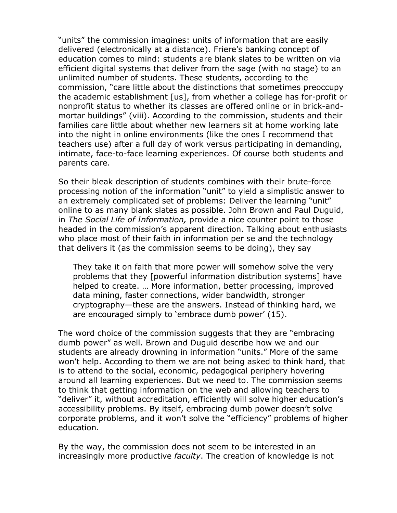"units" the commission imagines: units of information that are easily delivered (electronically at a distance). Friere's banking concept of education comes to mind: students are blank slates to be written on via efficient digital systems that deliver from the sage (with no stage) to an unlimited number of students. These students, according to the commission, "care little about the distinctions that sometimes preoccupy the academic establishment [us], from whether a college has for-profit or nonprofit status to whether its classes are offered online or in brick-andmortar buildings" (viii). According to the commission, students and their families care little about whether new learners sit at home working late into the night in online environments (like the ones I recommend that teachers use) after a full day of work versus participating in demanding, intimate, face-to-face learning experiences. Of course both students and parents care.

So their bleak description of students combines with their brute-force processing notion of the information "unit" to yield a simplistic answer to an extremely complicated set of problems: Deliver the learning "unit" online to as many blank slates as possible. John Brown and Paul Duguid, in *The Social Life of Information,* provide a nice counter point to those headed in the commission's apparent direction. Talking about enthusiasts who place most of their faith in information per se and the technology that delivers it (as the commission seems to be doing), they say

They take it on faith that more power will somehow solve the very problems that they [powerful information distribution systems] have helped to create. … More information, better processing, improved data mining, faster connections, wider bandwidth, stronger cryptography—these are the answers. Instead of thinking hard, we are encouraged simply to 'embrace dumb power' (15).

The word choice of the commission suggests that they are "embracing dumb power" as well. Brown and Duguid describe how we and our students are already drowning in information "units." More of the same won't help. According to them we are not being asked to think hard, that is to attend to the social, economic, pedagogical periphery hovering around all learning experiences. But we need to. The commission seems to think that getting information on the web and allowing teachers to "deliver" it, without accreditation, efficiently will solve higher education's accessibility problems. By itself, embracing dumb power doesn't solve corporate problems, and it won't solve the "efficiency" problems of higher education.

By the way, the commission does not seem to be interested in an increasingly more productive *faculty*. The creation of knowledge is not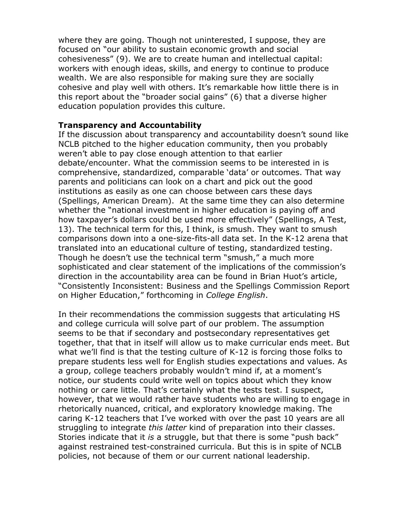where they are going. Though not uninterested, I suppose, they are focused on "our ability to sustain economic growth and social cohesiveness" (9). We are to create human and intellectual capital: workers with enough ideas, skills, and energy to continue to produce wealth. We are also responsible for making sure they are socially cohesive and play well with others. It's remarkable how little there is in this report about the "broader social gains" (6) that a diverse higher education population provides this culture.

### **Transparency and Accountability**

If the discussion about transparency and accountability doesn't sound like NCLB pitched to the higher education community, then you probably weren't able to pay close enough attention to that earlier debate/encounter. What the commission seems to be interested in is comprehensive, standardized, comparable 'data' or outcomes. That way parents and politicians can look on a chart and pick out the good institutions as easily as one can choose between cars these days (Spellings, American Dream). At the same time they can also determine whether the "national investment in higher education is paying off and how taxpayer's dollars could be used more effectively" (Spellings, A Test, 13). The technical term for this, I think, is smush. They want to smush comparisons down into a one-size-fits-all data set. In the K-12 arena that translated into an educational culture of testing, standardized testing. Though he doesn't use the technical term "smush," a much more sophisticated and clear statement of the implications of the commission's direction in the accountability area can be found in Brian Huot's article, "Consistently Inconsistent: Business and the Spellings Commission Report on Higher Education," forthcoming in *College English*.

In their recommendations the commission suggests that articulating HS and college curricula will solve part of our problem. The assumption seems to be that if secondary and postsecondary representatives get together, that that in itself will allow us to make curricular ends meet. But what we'll find is that the testing culture of K-12 is forcing those folks to prepare students less well for English studies expectations and values. As a group, college teachers probably wouldn't mind if, at a moment's notice, our students could write well on topics about which they know nothing or care little. That's certainly what the tests test. I suspect, however, that we would rather have students who are willing to engage in rhetorically nuanced, critical, and exploratory knowledge making. The caring K-12 teachers that I've worked with over the past 10 years are all struggling to integrate *this latter* kind of preparation into their classes. Stories indicate that it *is* a struggle, but that there is some "push back" against restrained test-constrained curricula. But this is in spite of NCLB policies, not because of them or our current national leadership.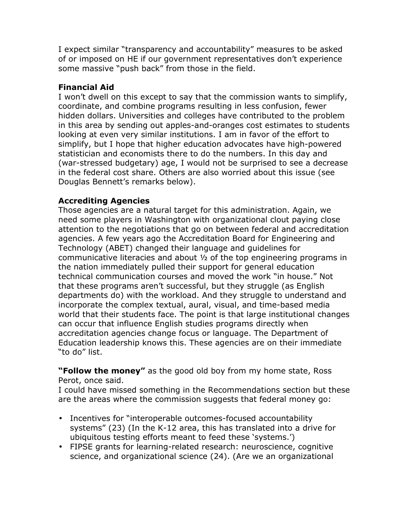I expect similar "transparency and accountability" measures to be asked of or imposed on HE if our government representatives don't experience some massive "push back" from those in the field.

# **Financial Aid**

I won't dwell on this except to say that the commission wants to simplify, coordinate, and combine programs resulting in less confusion, fewer hidden dollars. Universities and colleges have contributed to the problem in this area by sending out apples-and-oranges cost estimates to students looking at even very similar institutions. I am in favor of the effort to simplify, but I hope that higher education advocates have high-powered statistician and economists there to do the numbers. In this day and (war-stressed budgetary) age, I would not be surprised to see a decrease in the federal cost share. Others are also worried about this issue (see Douglas Bennett's remarks below).

# **Accrediting Agencies**

Those agencies are a natural target for this administration. Again, we need some players in Washington with organizational clout paying close attention to the negotiations that go on between federal and accreditation agencies. A few years ago the Accreditation Board for Engineering and Technology (ABET) changed their language and guidelines for communicative literacies and about ½ of the top engineering programs in the nation immediately pulled their support for general education technical communication courses and moved the work "in house." Not that these programs aren't successful, but they struggle (as English departments do) with the workload. And they struggle to understand and incorporate the complex textual, aural, visual, and time-based media world that their students face. The point is that large institutional changes can occur that influence English studies programs directly when accreditation agencies change focus or language. The Department of Education leadership knows this. These agencies are on their immediate "to do" list.

**"Follow the money"** as the good old boy from my home state, Ross Perot, once said.

I could have missed something in the Recommendations section but these are the areas where the commission suggests that federal money go:

- Incentives for "interoperable outcomes-focused accountability systems" (23) (In the K-12 area, this has translated into a drive for ubiquitous testing efforts meant to feed these 'systems.')
- FIPSE grants for learning-related research: neuroscience, cognitive science, and organizational science (24). (Are we an organizational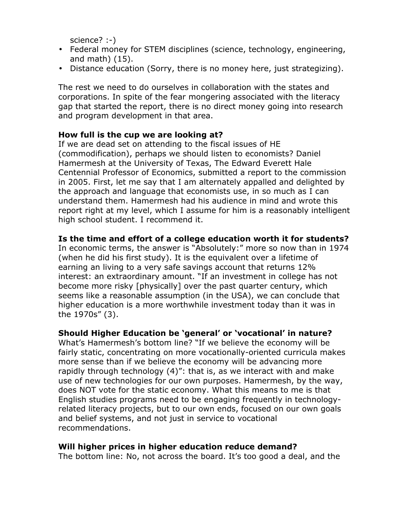science? :-)

- Federal money for STEM disciplines (science, technology, engineering, and math) (15).
- Distance education (Sorry, there is no money here, just strategizing).

The rest we need to do ourselves in collaboration with the states and corporations. In spite of the fear mongering associated with the literacy gap that started the report, there is no direct money going into research and program development in that area.

## **How full is the cup we are looking at?**

If we are dead set on attending to the fiscal issues of HE (commodification), perhaps we should listen to economists? Daniel Hamermesh at the University of Texas, The Edward Everett Hale Centennial Professor of Economics, submitted a report to the commission in 2005. First, let me say that I am alternately appalled and delighted by the approach and language that economists use, in so much as I can understand them. Hamermesh had his audience in mind and wrote this report right at my level, which I assume for him is a reasonably intelligent high school student. I recommend it.

## **Is the time and effort of a college education worth it for students?**

In economic terms, the answer is "Absolutely:" more so now than in 1974 (when he did his first study). It is the equivalent over a lifetime of earning an living to a very safe savings account that returns 12% interest: an extraordinary amount. "If an investment in college has not become more risky [physically] over the past quarter century, which seems like a reasonable assumption (in the USA), we can conclude that higher education is a more worthwhile investment today than it was in the 1970s" (3).

### **Should Higher Education be 'general' or 'vocational' in nature?**

What's Hamermesh's bottom line? "If we believe the economy will be fairly static, concentrating on more vocationally-oriented curricula makes more sense than if we believe the economy will be advancing more rapidly through technology (4)": that is, as we interact with and make use of new technologies for our own purposes. Hamermesh, by the way, does NOT vote for the static economy. What this means to me is that English studies programs need to be engaging frequently in technologyrelated literacy projects, but to our own ends, focused on our own goals and belief systems, and not just in service to vocational recommendations.

# **Will higher prices in higher education reduce demand?**

The bottom line: No, not across the board. It's too good a deal, and the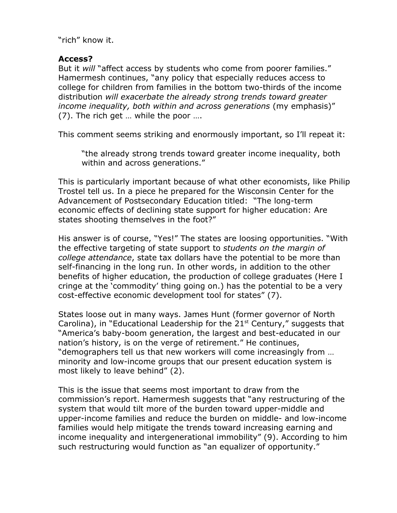"rich" know it.

## **Access?**

But it *will* "affect access by students who come from poorer families." Hamermesh continues, "any policy that especially reduces access to college for children from families in the bottom two-thirds of the income distribution *will exacerbate the already strong trends toward greater income inequality, both within and across generations* (my emphasis)" (7). The rich get … while the poor ….

This comment seems striking and enormously important, so I'll repeat it:

"the already strong trends toward greater income inequality, both within and across generations."

This is particularly important because of what other economists, like Philip Trostel tell us. In a piece he prepared for the Wisconsin Center for the Advancement of Postsecondary Education titled: "The long-term economic effects of declining state support for higher education: Are states shooting themselves in the foot?"

His answer is of course, "Yes!" The states are loosing opportunities. "With the effective targeting of state support to *students on the margin of college attendance*, state tax dollars have the potential to be more than self-financing in the long run. In other words, in addition to the other benefits of higher education, the production of college graduates (Here I cringe at the 'commodity' thing going on.) has the potential to be a very cost-effective economic development tool for states" (7).

States loose out in many ways. James Hunt (former governor of North Carolina), in "Educational Leadership for the  $21<sup>st</sup>$  Century," suggests that "America's baby-boom generation, the largest and best-educated in our nation's history, is on the verge of retirement." He continues, "demographers tell us that new workers will come increasingly from … minority and low-income groups that our present education system is most likely to leave behind" (2).

This is the issue that seems most important to draw from the commission's report. Hamermesh suggests that "any restructuring of the system that would tilt more of the burden toward upper-middle and upper-income families and reduce the burden on middle- and low-income families would help mitigate the trends toward increasing earning and income inequality and intergenerational immobility" (9). According to him such restructuring would function as "an equalizer of opportunity."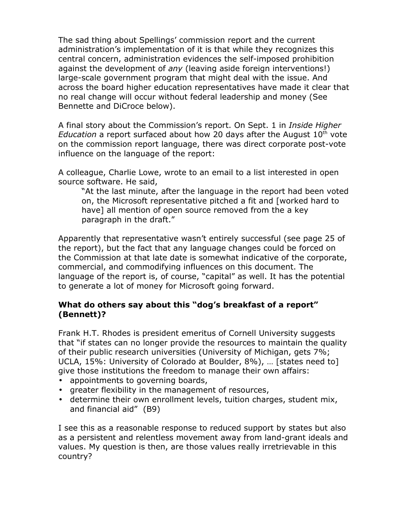The sad thing about Spellings' commission report and the current administration's implementation of it is that while they recognizes this central concern, administration evidences the self-imposed prohibition against the development of *any* (leaving aside foreign interventions!) large-scale government program that might deal with the issue. And across the board higher education representatives have made it clear that no real change will occur without federal leadership and money (See Bennette and DiCroce below).

A final story about the Commission's report. On Sept. 1 in *Inside Higher* Education a report surfaced about how 20 days after the August 10<sup>th</sup> vote on the commission report language, there was direct corporate post-vote influence on the language of the report:

A colleague, Charlie Lowe, wrote to an email to a list interested in open source software. He said,

"At the last minute, after the language in the report had been voted on, the Microsoft representative pitched a fit and [worked hard to have] all mention of open source removed from the a key paragraph in the draft."

Apparently that representative wasn't entirely successful (see page 25 of the report), but the fact that any language changes could be forced on the Commission at that late date is somewhat indicative of the corporate, commercial, and commodifying influences on this document. The language of the report is, of course, "capital" as well. It has the potential to generate a lot of money for Microsoft going forward.

## **What do others say about this "dog's breakfast of a report" (Bennett)?**

Frank H.T. Rhodes is president emeritus of Cornell University suggests that "if states can no longer provide the resources to maintain the quality of their public research universities (University of Michigan, gets 7%; UCLA, 15%: University of Colorado at Boulder, 8%), … [states need to] give those institutions the freedom to manage their own affairs:

- appointments to governing boards,
- greater flexibility in the management of resources,
- determine their own enrollment levels, tuition charges, student mix, and financial aid" (B9)

I see this as a reasonable response to reduced support by states but also as a persistent and relentless movement away from land-grant ideals and values. My question is then, are those values really irretrievable in this country?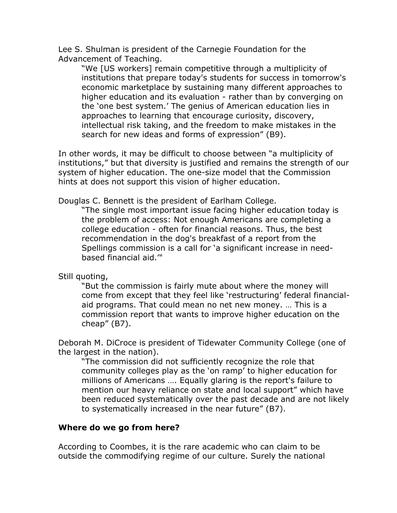Lee S. Shulman is president of the Carnegie Foundation for the Advancement of Teaching.

"We [US workers] remain competitive through a multiplicity of institutions that prepare today's students for success in tomorrow's economic marketplace by sustaining many different approaches to higher education and its evaluation - rather than by converging on the 'one best system.' The genius of American education lies in approaches to learning that encourage curiosity, discovery, intellectual risk taking, and the freedom to make mistakes in the search for new ideas and forms of expression" (B9).

In other words, it may be difficult to choose between "a multiplicity of institutions," but that diversity is justified and remains the strength of our system of higher education. The one-size model that the Commission hints at does not support this vision of higher education.

Douglas C. Bennett is the president of Earlham College.

"The single most important issue facing higher education today is the problem of access: Not enough Americans are completing a college education - often for financial reasons. Thus, the best recommendation in the dog's breakfast of a report from the Spellings commission is a call for 'a significant increase in needbased financial aid.'"

Still quoting,

"But the commission is fairly mute about where the money will come from except that they feel like 'restructuring' federal financialaid programs. That could mean no net new money. … This is a commission report that wants to improve higher education on the cheap" (B7).

Deborah M. DiCroce is president of Tidewater Community College (one of the largest in the nation).

"The commission did not sufficiently recognize the role that community colleges play as the 'on ramp' to higher education for millions of Americans …. Equally glaring is the report's failure to mention our heavy reliance on state and local support" which have been reduced systematically over the past decade and are not likely to systematically increased in the near future" (B7).

# **Where do we go from here?**

According to Coombes, it is the rare academic who can claim to be outside the commodifying regime of our culture. Surely the national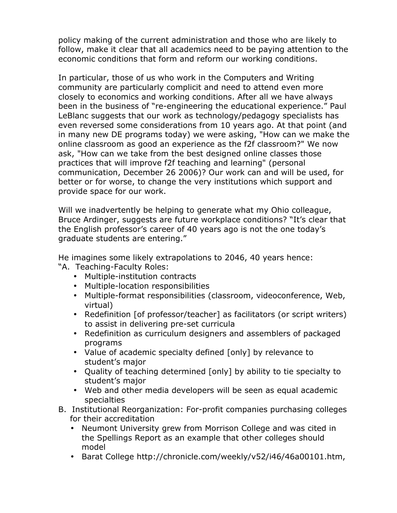policy making of the current administration and those who are likely to follow, make it clear that all academics need to be paying attention to the economic conditions that form and reform our working conditions.

In particular, those of us who work in the Computers and Writing community are particularly complicit and need to attend even more closely to economics and working conditions. After all we have always been in the business of "re-engineering the educational experience." Paul LeBlanc suggests that our work as technology/pedagogy specialists has even reversed some considerations from 10 years ago. At that point (and in many new DE programs today) we were asking, "How can we make the online classroom as good an experience as the f2f classroom?" We now ask, "How can we take from the best designed online classes those practices that will improve f2f teaching and learning" (personal communication, December 26 2006)? Our work can and will be used, for better or for worse, to change the very institutions which support and provide space for our work.

Will we inadvertently be helping to generate what my Ohio colleague, Bruce Ardinger, suggests are future workplace conditions? "It's clear that the English professor's career of 40 years ago is not the one today's graduate students are entering."

He imagines some likely extrapolations to 2046, 40 years hence:

- "A. Teaching-Faculty Roles:
	- Multiple-institution contracts
	- Multiple-location responsibilities
	- Multiple-format responsibilities (classroom, videoconference, Web, virtual)
	- Redefinition [of professor/teacher] as facilitators (or script writers) to assist in delivering pre-set curricula
	- Redefinition as curriculum designers and assemblers of packaged programs
	- Value of academic specialty defined [only] by relevance to student's major
	- Quality of teaching determined [only] by ability to tie specialty to student's major
	- Web and other media developers will be seen as equal academic specialties
- B. Institutional Reorganization: For-profit companies purchasing colleges for their accreditation
	- Neumont University grew from Morrison College and was cited in the Spellings Report as an example that other colleges should model
	- Barat College [http://chronicle.com/weekly/v52/i46/46a00101.htm,](http://chronicle.com/weekly/v52/i46/46a00101.htm)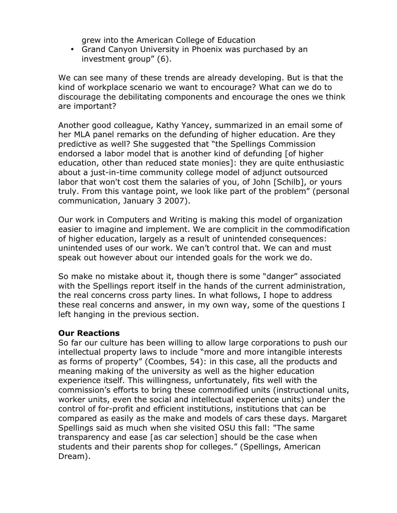grew into the American College of Education

• Grand Canyon University in Phoenix was purchased by an investment group" (6).

We can see many of these trends are already developing. But is that the kind of workplace scenario we want to encourage? What can we do to discourage the debilitating components and encourage the ones we think are important?

Another good colleague, Kathy Yancey, summarized in an email some of her MLA panel remarks on the defunding of higher education. Are they predictive as well? She suggested that "the Spellings Commission endorsed a labor model that is another kind of defunding [of higher education, other than reduced state monies]: they are quite enthusiastic about a just-in-time community college model of adjunct outsourced labor that won't cost them the salaries of you, of John [Schilb], or yours truly. From this vantage point, we look like part of the problem" (personal communication, January 3 2007).

Our work in Computers and Writing is making this model of organization easier to imagine and implement. We are complicit in the commodification of higher education, largely as a result of unintended consequences: unintended uses of our work. We can't control that. We can and must speak out however about our intended goals for the work we do.

So make no mistake about it, though there is some "danger" associated with the Spellings report itself in the hands of the current administration, the real concerns cross party lines. In what follows, I hope to address these real concerns and answer, in my own way, some of the questions I left hanging in the previous section.

### **Our Reactions**

So far our culture has been willing to allow large corporations to push our intellectual property laws to include "more and more intangible interests as forms of property" (Coombes, 54): in this case, all the products and meaning making of the university as well as the higher education experience itself. This willingness, unfortunately, fits well with the commission's efforts to bring these commodified units (instructional units, worker units, even the social and intellectual experience units) under the control of for-profit and efficient institutions, institutions that can be compared as easily as the make and models of cars these days. Margaret Spellings said as much when she visited OSU this fall: "The same transparency and ease [as car selection] should be the case when students and their parents shop for colleges." (Spellings, American Dream).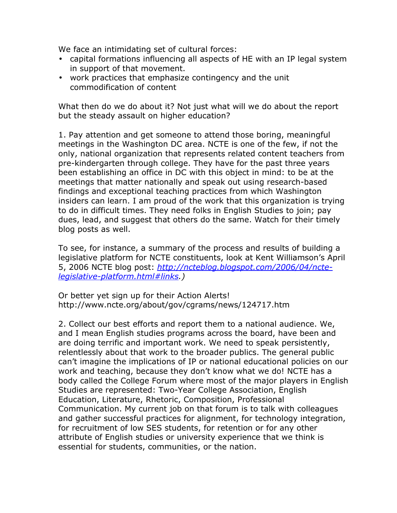We face an intimidating set of cultural forces:

- capital formations influencing all aspects of HE with an IP legal system in support of that movement.
- work practices that emphasize contingency and the unit commodification of content

What then do we do about it? Not just what will we do about the report but the steady assault on higher education?

1. Pay attention and get someone to attend those boring, meaningful meetings in the Washington DC area. NCTE is one of the few, if not the only, national organization that represents related content teachers from pre-kindergarten through college. They have for the past three years been establishing an office in DC with this object in mind: to be at the meetings that matter nationally and speak out using research-based findings and exceptional teaching practices from which Washington insiders can learn. I am proud of the work that this organization is trying to do in difficult times. They need folks in English Studies to join; pay dues, lead, and suggest that others do the same. Watch for their timely blog posts as well.

To see, for instance, a summary of the process and results of building a legislative platform for NCTE constituents, look at Kent Williamson's April 5, 2006 NCTE blog post: *[http://ncteblog.blogspot.com/2006/04/ncte](http://ncteblog.blogspot.com/2006/04/ncte-legislative-platform.html#links)[legislative-platform.html#links.](http://ncteblog.blogspot.com/2006/04/ncte-legislative-platform.html#links))* 

Or better yet sign up for their Action Alerts! http://www.ncte.org/about/gov/cgrams/news/124717.htm

2. Collect our best efforts and report them to a national audience. We, and I mean English studies programs across the board, have been and are doing terrific and important work. We need to speak persistently, relentlessly about that work to the broader publics. The general public can't imagine the implications of IP or national educational policies on our work and teaching, because they don't know what we do! NCTE has a body called the College Forum where most of the major players in English Studies are represented: Two-Year College Association, English Education, Literature, Rhetoric, Composition, Professional Communication. My current job on that forum is to talk with colleagues and gather successful practices for alignment, for technology integration, for recruitment of low SES students, for retention or for any other attribute of English studies or university experience that we think is essential for students, communities, or the nation.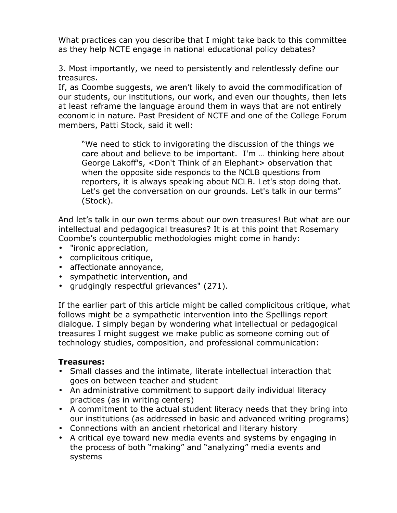What practices can you describe that I might take back to this committee as they help NCTE engage in national educational policy debates?

3. Most importantly, we need to persistently and relentlessly define our treasures.

If, as Coombe suggests, we aren't likely to avoid the commodification of our students, our institutions, our work, and even our thoughts, then lets at least reframe the language around them in ways that are not entirely economic in nature. Past President of NCTE and one of the College Forum members, Patti Stock, said it well:

"We need to stick to invigorating the discussion of the things we care about and believe to be important. I'm … thinking here about George Lakoff's, <Don't Think of an Elephant> observation that when the opposite side responds to the NCLB questions from reporters, it is always speaking about NCLB. Let's stop doing that. Let's get the conversation on our grounds. Let's talk in our terms" (Stock).

And let's talk in our own terms about our own treasures! But what are our intellectual and pedagogical treasures? It is at this point that Rosemary Coombe's counterpublic methodologies might come in handy:

- "ironic appreciation,
- complicitous critique,
- affectionate annoyance,
- sympathetic intervention, and
- grudgingly respectful grievances" (271).

If the earlier part of this article might be called complicitous critique, what follows might be a sympathetic intervention into the Spellings report dialogue. I simply began by wondering what intellectual or pedagogical treasures I might suggest we make public as someone coming out of technology studies, composition, and professional communication:

### **Treasures:**

- Small classes and the intimate, literate intellectual interaction that goes on between teacher and student
- An administrative commitment to support daily individual literacy practices (as in writing centers)
- A commitment to the actual student literacy needs that they bring into our institutions (as addressed in basic and advanced writing programs)
- Connections with an ancient rhetorical and literary history
- A critical eye toward new media events and systems by engaging in the process of both "making" and "analyzing" media events and systems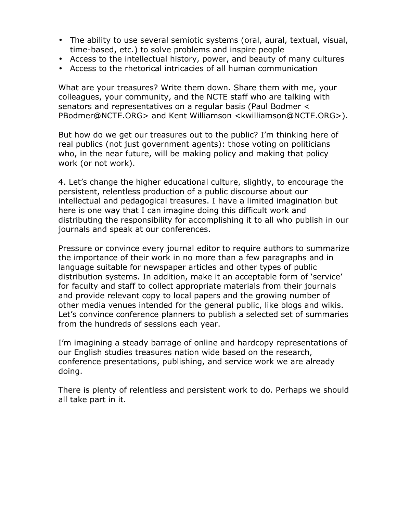- The ability to use several semiotic systems (oral, aural, textual, visual, time-based, etc.) to solve problems and inspire people
- Access to the intellectual history, power, and beauty of many cultures
- Access to the rhetorical intricacies of all human communication

What are your treasures? Write them down. Share them with me, your colleagues, your community, and the NCTE staff who are talking with senators and representatives on a regular basis (Paul Bodmer < PBodmer@NCTE.ORG> and Kent Williamson <kwilliamson@NCTE.ORG>).

But how do we get our treasures out to the public? I'm thinking here of real publics (not just government agents): those voting on politicians who, in the near future, will be making policy and making that policy work (or not work).

4. Let's change the higher educational culture, slightly, to encourage the persistent, relentless production of a public discourse about our intellectual and pedagogical treasures. I have a limited imagination but here is one way that I can imagine doing this difficult work and distributing the responsibility for accomplishing it to all who publish in our journals and speak at our conferences.

Pressure or convince every journal editor to require authors to summarize the importance of their work in no more than a few paragraphs and in language suitable for newspaper articles and other types of public distribution systems. In addition, make it an acceptable form of 'service' for faculty and staff to collect appropriate materials from their journals and provide relevant copy to local papers and the growing number of other media venues intended for the general public, like blogs and wikis. Let's convince conference planners to publish a selected set of summaries from the hundreds of sessions each year.

I'm imagining a steady barrage of online and hardcopy representations of our English studies treasures nation wide based on the research, conference presentations, publishing, and service work we are already doing.

There is plenty of relentless and persistent work to do. Perhaps we should all take part in it.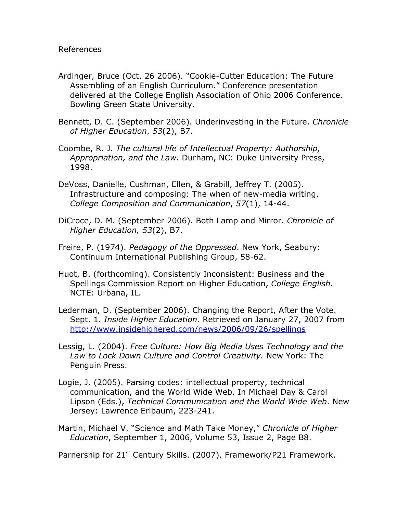- Ardinger, Bruce (Oct. 26 2006). "Cookie-Cutter Education: The Future Assembling of an English Curriculum." Conference presentation delivered at the College English Association of Ohio 2006 Conference. Bowling Green State University.
- Bennett, D. C. (September 2006). Underinvesting in the Future. *Chronicle of Higher Education*, *53*(2), B7.
- Coombe, R. J. *The cultural life of Intellectual Property: Authorship, Appropriation, and the Law*. Durham, NC: Duke University Press, 1998.
- DeVoss, Danielle, Cushman, Ellen, & Grabill, Jeffrey T. (2005). Infrastructure and composing: The when of new-media writing. *College Composition and Communication*, *57*(1), 14-44.
- DiCroce, D. M. (September 2006). Both Lamp and Mirror. *Chronicle of Higher Education, 53*(2), B7.
- Freire, P. (1974). *Pedagogy of the Oppressed*. New York, Seabury: Continuum International Publishing Group, 58-62.
- Huot, B. (forthcoming). Consistently Inconsistent: Business and the Spellings Commission Report on Higher Education, *College English*. NCTE: Urbana, IL.
- Lederman, D. (September 2006). Changing the Report, After the Vote. Sept. 1. *Inside Higher Education.* Retrieved on January 27, 2007 from <http://www.insidehighered.com/news/2006/09/26/spellings>
- Lessig, L. (2004). *Free Culture: How Big Media Uses Technology and the Law to Lock Down Culture and Control Creativity.* New York: The Penguin Press.
- Logie, J. (2005). Parsing codes: intellectual property, technical communication, and the World Wide Web. In Michael Day & Carol Lipson (Eds.), *Technical Communication and the World Wide Web*. New Jersey: Lawrence Erlbaum, 223-241.
- Martin, Michael V. "Science and Math Take Money," *Chronicle of Higher Education*, September 1, 2006, Volume 53, Issue 2, Page B8.

Parnership for 21<sup>st</sup> Century Skills. (2007). Framework/P21 Framework.